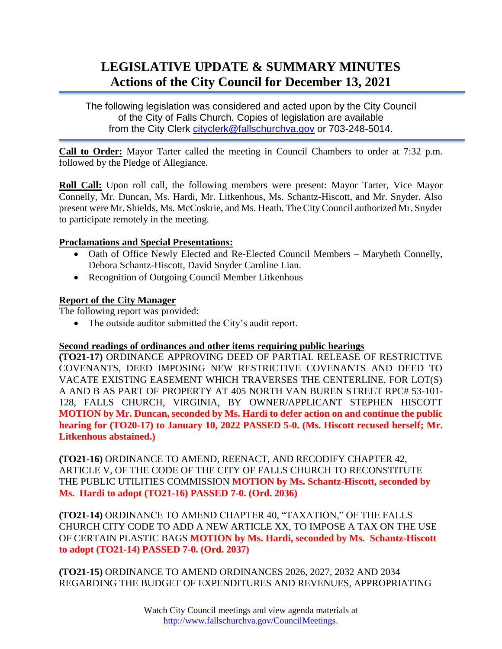# **LEGISLATIVE UPDATE & SUMMARY MINUTES Actions of the City Council for December 13, 2021**

The following legislation was considered and acted upon by the City Council of the City of Falls Church. Copies of legislation are available from the City Clerk [cityclerk@fallschurchva.gov](mailto:cityclerk@fallschurchva.gov) or 703-248-5014.

**Call to Order:** Mayor Tarter called the meeting in Council Chambers to order at 7:32 p.m. followed by the Pledge of Allegiance.

**Roll Call:** Upon roll call, the following members were present: Mayor Tarter, Vice Mayor Connelly, Mr. Duncan, Ms. Hardi, Mr. Litkenhous, Ms. Schantz-Hiscott, and Mr. Snyder. Also present were Mr. Shields, Ms. McCoskrie, and Ms. Heath. The City Council authorized Mr. Snyder to participate remotely in the meeting.

## **Proclamations and Special Presentations:**

- Oath of Office Newly Elected and Re-Elected Council Members Marybeth Connelly, Debora Schantz-Hiscott, David Snyder Caroline Lian.
- Recognition of Outgoing Council Member Litkenhous

## **Report of the City Manager**

The following report was provided:

• The outside auditor submitted the City's audit report.

### **Second readings of ordinances and other items requiring public hearings**

**(TO21-17)** ORDINANCE APPROVING DEED OF PARTIAL RELEASE OF RESTRICTIVE COVENANTS, DEED IMPOSING NEW RESTRICTIVE COVENANTS AND DEED TO VACATE EXISTING EASEMENT WHICH TRAVERSES THE CENTERLINE, FOR LOT(S) A AND B AS PART OF PROPERTY AT 405 NORTH VAN BUREN STREET RPC# 53-101- 128, FALLS CHURCH, VIRGINIA, BY OWNER/APPLICANT STEPHEN HISCOTT **MOTION by Mr. Duncan, seconded by Ms. Hardi to defer action on and continue the public hearing for (TO20-17) to January 10, 2022 PASSED 5-0. (Ms. Hiscott recused herself; Mr. Litkenhous abstained.)**

**(TO21-16)** ORDINANCE TO AMEND, REENACT, AND RECODIFY CHAPTER 42, ARTICLE V, OF THE CODE OF THE CITY OF FALLS CHURCH TO RECONSTITUTE THE PUBLIC UTILITIES COMMISSION **MOTION by Ms. Schantz-Hiscott, seconded by Ms. Hardi to adopt (TO21-16) PASSED 7-0. (Ord. 2036)**

**(TO21-14)** ORDINANCE TO AMEND CHAPTER 40, "TAXATION," OF THE FALLS CHURCH CITY CODE TO ADD A NEW ARTICLE XX, TO IMPOSE A TAX ON THE USE OF CERTAIN PLASTIC BAGS **MOTION by Ms. Hardi, seconded by Ms. Schantz-Hiscott to adopt (TO21-14) PASSED 7-0. (Ord. 2037)**

**(TO21-15)** ORDINANCE TO AMEND ORDINANCES 2026, 2027, 2032 AND 2034 REGARDING THE BUDGET OF EXPENDITURES AND REVENUES, APPROPRIATING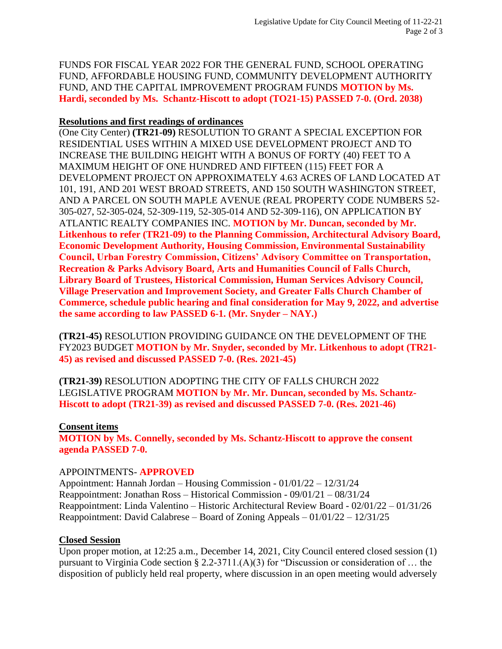FUNDS FOR FISCAL YEAR 2022 FOR THE GENERAL FUND, SCHOOL OPERATING FUND, AFFORDABLE HOUSING FUND, COMMUNITY DEVELOPMENT AUTHORITY FUND, AND THE CAPITAL IMPROVEMENT PROGRAM FUNDS **MOTION by Ms. Hardi, seconded by Ms. Schantz-Hiscott to adopt (TO21-15) PASSED 7-0. (Ord. 2038)**

## **Resolutions and first readings of ordinances**

(One City Center) **(TR21-09)** RESOLUTION TO GRANT A SPECIAL EXCEPTION FOR RESIDENTIAL USES WITHIN A MIXED USE DEVELOPMENT PROJECT AND TO INCREASE THE BUILDING HEIGHT WITH A BONUS OF FORTY (40) FEET TO A MAXIMUM HEIGHT OF ONE HUNDRED AND FIFTEEN (115) FEET FOR A DEVELOPMENT PROJECT ON APPROXIMATELY 4.63 ACRES OF LAND LOCATED AT 101, 191, AND 201 WEST BROAD STREETS, AND 150 SOUTH WASHINGTON STREET, AND A PARCEL ON SOUTH MAPLE AVENUE (REAL PROPERTY CODE NUMBERS 52- 305-027, 52-305-024, 52-309-119, 52-305-014 AND 52-309-116), ON APPLICATION BY ATLANTIC REALTY COMPANIES INC. **MOTION by Mr. Duncan, seconded by Mr. Litkenhous to refer (TR21-09) to the Planning Commission, Architectural Advisory Board, Economic Development Authority, Housing Commission, Environmental Sustainability Council, Urban Forestry Commission, Citizens' Advisory Committee on Transportation, Recreation & Parks Advisory Board, Arts and Humanities Council of Falls Church, Library Board of Trustees, Historical Commission, Human Services Advisory Council, Village Preservation and Improvement Society, and Greater Falls Church Chamber of Commerce, schedule public hearing and final consideration for May 9, 2022, and advertise the same according to law PASSED 6-1. (Mr. Snyder – NAY.)**

**(TR21-45)** RESOLUTION PROVIDING GUIDANCE ON THE DEVELOPMENT OF THE FY2023 BUDGET **MOTION by Mr. Snyder, seconded by Mr. Litkenhous to adopt (TR21- 45) as revised and discussed PASSED 7-0. (Res. 2021-45)**

**(TR21-39)** RESOLUTION ADOPTING THE CITY OF FALLS CHURCH 2022 LEGISLATIVE PROGRAM **MOTION by Mr. Mr. Duncan, seconded by Ms. Schantz-Hiscott to adopt (TR21-39) as revised and discussed PASSED 7-0. (Res. 2021-46)**

**Consent items MOTION by Ms. Connelly, seconded by Ms. Schantz-Hiscott to approve the consent agenda PASSED 7-0.**

# APPOINTMENTS- **APPROVED**

Appointment: Hannah Jordan – Housing Commission - 01/01/22 – 12/31/24 Reappointment: Jonathan Ross – Historical Commission - 09/01/21 – 08/31/24 Reappointment: Linda Valentino – Historic Architectural Review Board - 02/01/22 – 01/31/26 Reappointment: David Calabrese – Board of Zoning Appeals – 01/01/22 – 12/31/25

# **Closed Session**

Upon proper motion, at 12:25 a.m., December 14, 2021, City Council entered closed session (1) pursuant to Virginia Code section § 2.2-3711.(A)(3) for "Discussion or consideration of … the disposition of publicly held real property, where discussion in an open meeting would adversely